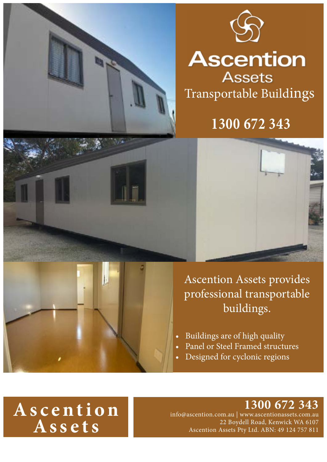



# **Ascention**

**Assets** Transportable Buildings

### **1300 672 343**



Ascention Assets provides professional transportable buildings.

- Buildings are of high quality
- Panel or Steel Framed structures
- Designed for cyclonic regions

# **A s c e n t i o n Assets**

#### **1300 672 343**

info@ascention.com.au | www.ascentionassets.com.au 22 Boydell Road, Kenwick WA 6107 Ascention Assets Pty Ltd. ABN: 49 124 757 811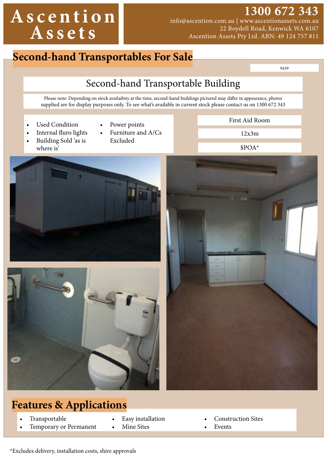# **A s c e n t i o n Assets**

### **1300 672 343**

info@ascention.com.au | www.ascentionassets.com.au 22 Boydell Road, Kenwick WA 6107 Ascention Assets Pty Ltd. ABN: 49 124 757 811

### **Second-hand Transportables For Sale**

9439

### Second-hand Transportable Building

Please note: Depending on stock availaibity at the time, second-hand buildings pictured may differ in appearance, photos supplied are for display purposes only. To see what's available in current stock please contact us on 1300 672 343

- Used Condition
- Power points
- Internal fluro lights • Building Sold 'as is where is'
- Furniture and A/Cs Excluded

First Aid Room

\$POA\*







- **Transportable**
- Temporary or Permanent
- Easy installation
- Mine Sites
- Construction Sites
- **Events**

\*Excludes delivery, installation costs, shire approvals

12x3m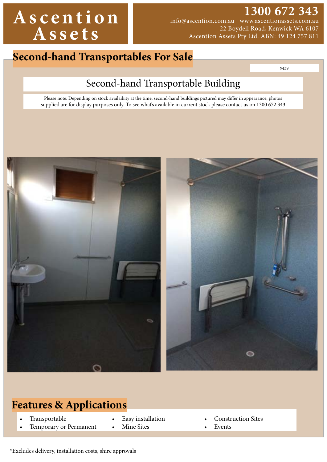## **A s c e n t i o n Assets**

**1300 672 343**  info@ascention.com.au | www.ascentionassets.com.au 22 Boydell Road, Kenwick WA 6107 Ascention Assets Pty Ltd. ABN: 49 124 757 811

**Second-hand Transportables For Sale** 

9439

### Second-hand Transportable Building

Please note: Depending on stock availaibity at the time, second-hand buildings pictured may differ in appearance, photos supplied are for display purposes only. To see what's available in current stock please contact us on 1300 672 343



#### **Features & Applications**

- **Transportable**
- Temporary or Permanent
- Easy installation
- Mine Sites
- Construction Sites
- **Events**

\*Excludes delivery, installation costs, shire approvals